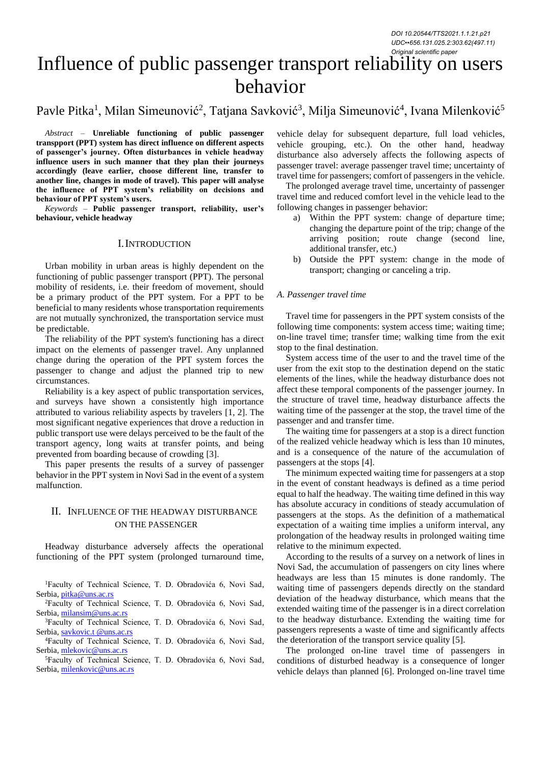*DOI 10.20544/TTS2021.1.1.21.p21 UDC••656.131.025.2:303.62(497.11) Original scientific paper*

# Influence of public passenger transport reliability on users behavior

# Pavle Pitka<sup>1</sup>, Milan Simeunović<sup>2</sup>, Tatjana Savković<sup>3</sup>, Milja Simeunović<sup>4</sup>, Ivana Milenković<sup>5</sup>

*Abstract –* **Unreliable functioning of public passenger transpport (PPT) system has direct influence on different aspects of passenger's journey. Often disturbances in vehicle headway influence users in such manner that they plan their journeys accordingly (leave earlier, choose different line, transfer to another line, changes in mode of travel). This paper will analyse the influence of PPT system's reliability on decisions and behaviour of PPT system's users.**

*Keywords –* **Public passenger transport, reliability, user's behaviour, vehicle headway**

#### I.INTRODUCTION

Urban mobility in urban areas is highly dependent on the functioning of public passenger transport (PPT). The personal mobility of residents, i.e. their freedom of movement, should be a primary product of the PPT system. For a PPT to be beneficial to many residents whose transportation requirements are not mutually synchronized, the transportation service must be predictable.

The reliability of the PPT system's functioning has a direct impact on the elements of passenger travel. Any unplanned change during the operation of the PPT system forces the passenger to change and adjust the planned trip to new circumstances.

Reliability is a key aspect of public transportation services, and surveys have shown a consistently high importance attributed to various reliability aspects by travelers [1, 2]. The most significant negative experiences that drove a reduction in public transport use were delays perceived to be the fault of the transport agency, long waits at transfer points, and being prevented from boarding because of crowding [3].

This paper presents the results of a survey of passenger behavior in the PPT system in Novi Sad in the event of a system malfunction.

## II. INFLUENCE OF THE HEADWAY DISTURBANCE ON THE PASSENGER

Headway disturbance adversely affects the operational functioning of the PPT system (prolonged turnaround time,

<sup>1</sup>Faculty of Technical Science, T. D. Obradovića 6, Novi Sad, Serbia[, pitka@uns.ac.rs](mailto:pitka@uns.ac.rs)

<sup>2</sup>Faculty of Technical Science, T. D. Obradovića 6, Novi Sad, Serbia[, milansim@uns.ac.rs](mailto:milansim@uns.ac.rs)

<sup>3</sup>Faculty of Technical Science, T. D. Obradovića 6, Novi Sad, Serbia, savkovic.t [@uns.ac.rs](mailto:pitka@uns.ac.rs)

<sup>4</sup>Faculty of Technical Science, T. D. Obradovića 6, Novi Sad, Serbia[, mlekovic@uns.ac.rs](mailto:mlekovic@uns.ac.rs)

<sup>5</sup>Faculty of Technical Science, T. D. Obradovića 6, Novi Sad, Serbia[, milenkovic@uns.ac.rs](mailto:milenkovic@uns.ac.rs)

vehicle delay for subsequent departure, full load vehicles, vehicle grouping, etc.). On the other hand, headway disturbance also adversely affects the following aspects of passenger travel: average passenger travel time; uncertainty of travel time for passengers; comfort of passengers in the vehicle.

The prolonged average travel time, uncertainty of passenger travel time and reduced comfort level in the vehicle lead to the following changes in passenger behavior:

- a) Within the PPT system: change of departure time; changing the departure point of the trip; change of the arriving position; route change (second line, additional transfer, etc.)
- b) Outside the PPT system: change in the mode of transport; changing or canceling a trip.

#### *A. Passenger travel time*

Travel time for passengers in the PPT system consists of the following time components: system access time; waiting time; on-line travel time; transfer time; walking time from the exit stop to the final destination.

System access time of the user to and the travel time of the user from the exit stop to the destination depend on the static elements of the lines, while the headway disturbance does not affect these temporal components of the passenger journey. In the structure of travel time, headway disturbance affects the waiting time of the passenger at the stop, the travel time of the passenger and and transfer time.

The waiting time for passengers at a stop is a direct function of the realized vehicle headway which is less than 10 minutes, and is a consequence of the nature of the accumulation of passengers at the stops [4].

The minimum expected waiting time for passengers at a stop in the event of constant headways is defined as a time period equal to half the headway. The waiting time defined in this way has absolute accuracy in conditions of steady accumulation of passengers at the stops. As the definition of a mathematical expectation of a waiting time implies a uniform interval, any prolongation of the headway results in prolonged waiting time relative to the minimum expected.

According to the results of a survey on a network of lines in Novi Sad, the accumulation of passengers on city lines where headways are less than 15 minutes is done randomly. The waiting time of passengers depends directly on the standard deviation of the headway disturbance, which means that the extended waiting time of the passenger is in a direct correlation to the headway disturbance. Extending the waiting time for passengers represents a waste of time and significantly affects the deterioration of the transport service quality [5].

The prolonged on-line travel time of passengers in conditions of disturbed headway is a consequence of longer vehicle delays than planned [6]. Prolonged on-line travel time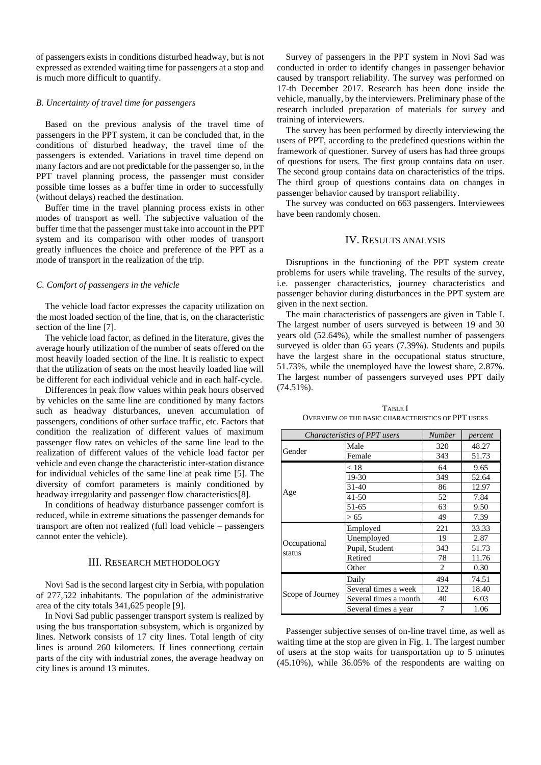of passengers exists in conditions disturbed headway, but is not expressed as extended waiting time for passengers at a stop and is much more difficult to quantify.

#### *B. Uncertainty of travel time for passengers*

Based on the previous analysis of the travel time of passengers in the PPT system, it can be concluded that, in the conditions of disturbed headway, the travel time of the passengers is extended. Variations in travel time depend on many factors and are not predictable for the passenger so, in the PPT travel planning process, the passenger must consider possible time losses as a buffer time in order to successfully (without delays) reached the destination.

Buffer time in the travel planning process exists in other modes of transport as well. The subjective valuation of the buffer time that the passenger must take into account in the PPT system and its comparison with other modes of transport greatly influences the choice and preference of the PPT as a mode of transport in the realization of the trip.

#### *C. Comfort of passengers in the vehicle*

The vehicle load factor expresses the capacity utilization on the most loaded section of the line, that is, on the characteristic section of the line [7].

The vehicle load factor, as defined in the literature, gives the average hourly utilization of the number of seats offered on the most heavily loaded section of the line. It is realistic to expect that the utilization of seats on the most heavily loaded line will be different for each individual vehicle and in each half-cycle.

Differences in peak flow values within peak hours observed by vehicles on the same line are conditioned by many factors such as headway disturbances, uneven accumulation of passengers, conditions of other surface traffic, etc. Factors that condition the realization of different values of maximum passenger flow rates on vehicles of the same line lead to the realization of different values of the vehicle load factor per vehicle and even change the characteristic inter-station distance for individual vehicles of the same line at peak time [5]. The diversity of comfort parameters is mainly conditioned by headway irregularity and passenger flow characteristics[8].

In conditions of headway disturbance passenger comfort is reduced, while in extreme situations the passenger demands for transport are often not realized (full load vehicle – passengers cannot enter the vehicle).

#### III. RESEARCH METHODOLOGY

Novi Sad is the second largest city in Serbia, with population of 277,522 inhabitants. The population of the administrative area of the city totals 341,625 people [9].

In Novi Sad public passenger transport system is realized by using the bus transportation subsystem, which is organized by lines. Network consists of 17 city lines. Total length of city lines is around 260 kilometers. If lines connectiong certain parts of the city with industrial zones, the average headway on city lines is around 13 minutes.

Survey of passengers in the PPT system in Novi Sad was conducted in order to identify changes in passenger behavior caused by transport reliability. The survey was performed on 17-th December 2017. Research has been done inside the vehicle, manually, by the interviewers. Preliminary phase of the research included preparation of materials for survey and training of interviewers.

The survey has been performed by directly interviewing the users of PPT, according to the predefined questions within the framework of questioner. Survey of users has had three groups of questions for users. The first group contains data on user. The second group contains data on characteristics of the trips. The third group of questions contains data on changes in passenger behavior caused by transport reliability.

The survey was conducted on 663 passengers. Interviewees have been randomly chosen.

#### IV. RESULTS ANALYSIS

Disruptions in the functioning of the PPT system create problems for users while traveling. The results of the survey, i.e. passenger characteristics, journey characteristics and passenger behavior during disturbances in the PPT system are given in the next section.

The main characteristics of passengers are given in Table I. The largest number of users surveyed is between 19 and 30 years old (52.64%), while the smallest number of passengers surveyed is older than 65 years (7.39%). Students and pupils have the largest share in the occupational status structure, 51.73%, while the unemployed have the lowest share, 2.87%. The largest number of passengers surveyed uses PPT daily (74.51%).

TABLE I OVERVIEW OF THE BASIC CHARACTERISTICS OF PPT USERS

| Characteristics of PPT users |                       | <b>Number</b>  | percent |
|------------------------------|-----------------------|----------------|---------|
| Gender                       | Male                  | 320            | 48.27   |
|                              | Female                | 343            | 51.73   |
| Age                          | < 18                  | 64             | 9.65    |
|                              | 19-30                 | 349            | 52.64   |
|                              | 31-40                 | 86             | 12.97   |
|                              | 41-50                 | 52             | 7.84    |
|                              | 51-65                 | 63             | 9.50    |
|                              | > 65                  | 49             | 7.39    |
| Occupational<br>status       | Employed              | 221            | 33.33   |
|                              | Unemployed            | 19             | 2.87    |
|                              | Pupil, Student        | 343            | 51.73   |
|                              | Retired               | 78             | 11.76   |
|                              | Other                 | $\overline{c}$ | 0.30    |
| Scope of Journey             | Daily                 | 494            | 74.51   |
|                              | Several times a week  | 122            | 18.40   |
|                              | Several times a month | 40             | 6.03    |
|                              | Several times a year  | 7              | 1.06    |

Passenger subjective senses of on-line travel time, as well as waiting time at the stop are given in Fig. 1. The largest number of users at the stop waits for transportation up to 5 minutes (45.10%), while 36.05% of the respondents are waiting on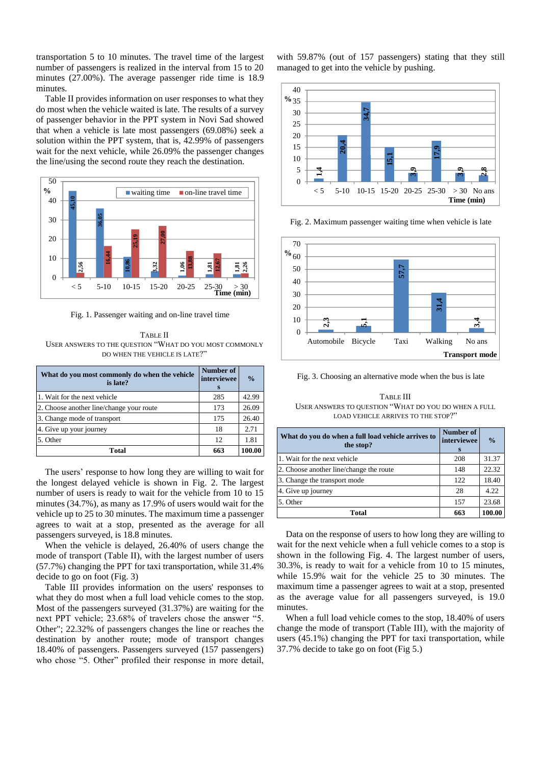transportation 5 to 10 minutes. The travel time of the largest number of passengers is realized in the interval from 15 to 20 minutes (27.00%). The average passenger ride time is 18.9 minutes.

Table II provides information on user responses to what they do most when the vehicle waited is late. The results of a survey of passenger behavior in the PPT system in Novi Sad showed that when a vehicle is late most passengers (69.08%) seek a solution within the PPT system, that is, 42.99% of passengers wait for the next vehicle, while 26.09% the passenger changes the line/using the second route they reach the destination.



Fig. 1. Passenger waiting and on-line travel time

TABLE II USER ANSWERS TO THE QUESTION "WHAT DO YOU MOST COMMONLY DO WHEN THE VEHICLE IS LATE?"

| What do you most commonly do when the vehicle<br>is late? | Number of<br>interviewee<br>s | $\frac{0}{0}$ |
|-----------------------------------------------------------|-------------------------------|---------------|
| 1. Wait for the next vehicle                              | 285                           | 42.99         |
| 2. Choose another line/change your route                  | 173                           | 26.09         |
| 3. Change mode of transport                               | 175                           | 26.40         |
| 4. Give up your journey                                   | 18                            | 2.71          |
| 5. Other                                                  | 12                            | 1.81          |
| Total                                                     | 663                           | 100.00        |

The users' response to how long they are willing to wait for the longest delayed vehicle is shown in Fig. 2. The largest number of users is ready to wait for the vehicle from 10 to 15 minutes (34.7%), as many as 17.9% of users would wait for the vehicle up to 25 to 30 minutes. The maximum time a passenger agrees to wait at a stop, presented as the average for all passengers surveyed, is 18.8 minutes.

When the vehicle is delayed, 26.40% of users change the mode of transport (Table II), with the largest number of users (57.7%) changing the PPT for taxi transportation, while 31.4% decide to go on foot (Fig. 3)

Table III provides information on the users' responses to what they do most when a full load vehicle comes to the stop. Most of the passengers surveyed (31.37%) are waiting for the next PPT vehicle; 23.68% of travelers chose the answer "5. Other"; 22.32% of passengers changes the line or reaches the destination by another route; mode of transport changes 18.40% of passengers. Passengers surveyed (157 passengers) who chose "5. Other" profiled their response in more detail,

with 59.87% (out of 157 passengers) stating that they still managed to get into the vehicle by pushing.



Fig. 2. Maximum passenger waiting time when vehicle is late



Fig. 3. Choosing an alternative mode when the bus is late

TABLE III USER ANSWERS TO QUESTION "WHAT DO YOU DO WHEN A FULL LOAD VEHICLE ARRIVES TO THE STOP?"

| What do you do when a full load vehicle arrives to<br>the stop? | Number of<br>interviewee<br>s | $\frac{0}{0}$ |
|-----------------------------------------------------------------|-------------------------------|---------------|
| 1. Wait for the next vehicle                                    | 208                           | 31.37         |
| 2. Choose another line/change the route                         | 148                           | 22.32         |
| 3. Change the transport mode                                    | 122                           | 18.40         |
| 4. Give up journey                                              | 28                            | 4.22          |
| 5. Other                                                        | 157                           | 23.68         |
| Total                                                           | 663                           | 100.00        |

Data on the response of users to how long they are willing to wait for the next vehicle when a full vehicle comes to a stop is shown in the following Fig. 4. The largest number of users, 30.3%, is ready to wait for a vehicle from 10 to 15 minutes, while 15.9% wait for the vehicle 25 to 30 minutes. The maximum time a passenger agrees to wait at a stop, presented as the average value for all passengers surveyed, is 19.0 minutes.

When a full load vehicle comes to the stop, 18.40% of users change the mode of transport (Table III), with the majority of users (45.1%) changing the PPT for taxi transportation, while 37.7% decide to take go on foot (Fig 5.)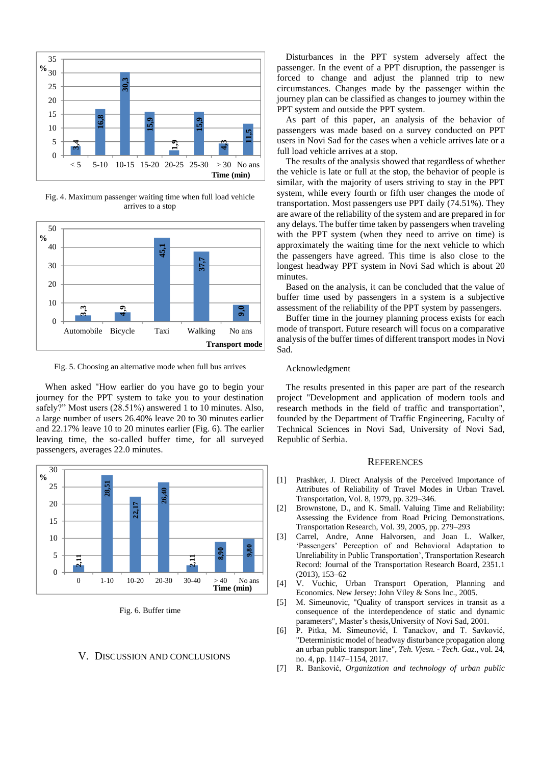

Fig. 4. Maximum passenger waiting time when full load vehicle arrives to a stop



Fig. 5. Choosing an alternative mode when full bus arrives

When asked "How earlier do you have go to begin your journey for the PPT system to take you to your destination safely?" Most users (28.51%) answered 1 to 10 minutes. Also, a large number of users 26.40% leave 20 to 30 minutes earlier and 22.17% leave 10 to 20 minutes earlier (Fig. 6). The earlier leaving time, the so-called buffer time, for all surveyed passengers, averages 22.0 minutes.



Fig. 6. Buffer time

#### V. DISCUSSION AND CONCLUSIONS

Disturbances in the PPT system adversely affect the passenger. In the event of a PPT disruption, the passenger is forced to change and adjust the planned trip to new circumstances. Changes made by the passenger within the journey plan can be classified as changes to journey within the PPT system and outside the PPT system.

As part of this paper, an analysis of the behavior of passengers was made based on a survey conducted on PPT users in Novi Sad for the cases when a vehicle arrives late or a full load vehicle arrives at a stop.

The results of the analysis showed that regardless of whether the vehicle is late or full at the stop, the behavior of people is similar, with the majority of users striving to stay in the PPT system, while every fourth or fifth user changes the mode of transportation. Most passengers use PPT daily (74.51%). They are aware of the reliability of the system and are prepared in for any delays. The buffer time taken by passengers when traveling with the PPT system (when they need to arrive on time) is approximately the waiting time for the next vehicle to which the passengers have agreed. This time is also close to the longest headway PPT system in Novi Sad which is about 20 minutes.

Based on the analysis, it can be concluded that the value of buffer time used by passengers in a system is a subjective assessment of the reliability of the PPT system by passengers.

Buffer time in the journey planning process exists for each mode of transport. Future research will focus on a comparative analysis of the buffer times of different transport modes in Novi Sad.

#### Acknowledgment

The results presented in this paper are part of the research project "Development and application of modern tools and research methods in the field of traffic and transportation", founded by the Department of Traffic Engineering, Faculty of Technical Sciences in Novi Sad, University of Novi Sad, Republic of Serbia.

### **REFERENCES**

- [1] Prashker, J. Direct Analysis of the Perceived Importance of Attributes of Reliability of Travel Modes in Urban Travel. Transportation, Vol. 8, 1979, pp. 329–346.
- [2] Brownstone, D., and K. Small. Valuing Time and Reliability: Assessing the Evidence from Road Pricing Demonstrations. Transportation Research, Vol. 39, 2005, pp. 279–293
- [3] Carrel, Andre, Anne Halvorsen, and Joan L. Walker, 'Passengers' Perception of and Behavioral Adaptation to Unreliability in Public Transportation', Transportation Research Record: Journal of the Transportation Research Board, 2351.1 (2013), 153–62
- [4] V. Vuchic, Urban Transport Operation, Planning and Economics. New Jersey: John Viley & Sons Inc., 2005.
- [5] M. Simeunovic, "Quality of transport services in transit as a consequence of the interdependence of static and dynamic parameters", Master's thesis,University of Novi Sad, 2001.
- [6] P. Pitka, M. Simeunović, I. Tanackov, and T. Savković, "Deterministic model of headway disturbance propagation along an urban public transport line", *Teh. Vjesn. - Tech. Gaz.*, vol. 24, no. 4, pp. 1147–1154, 2017.
- [7] R. Banković, *Organization and technology of urban public*